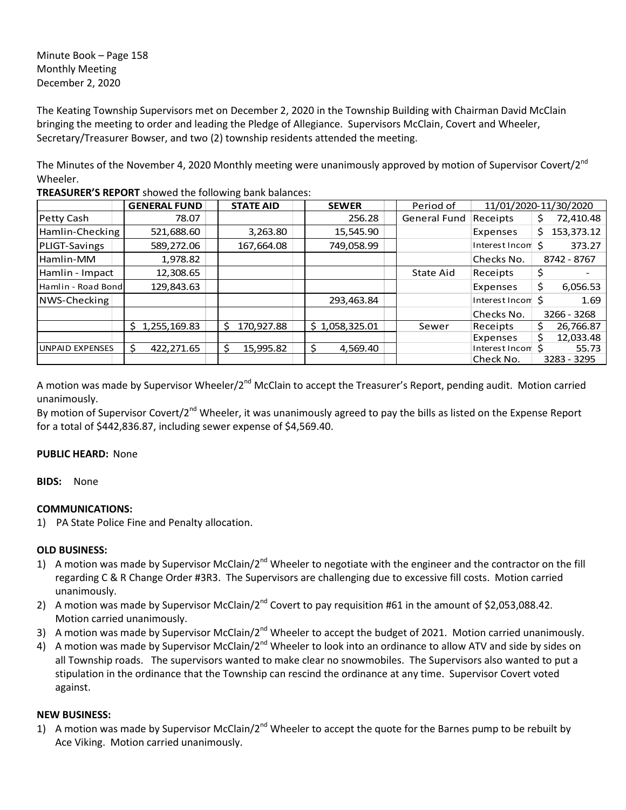Minute Book – Page 158 Monthly Meeting December 2, 2020

The Keating Township Supervisors met on December 2, 2020 in the Township Building with Chairman David McClain bringing the meeting to order and leading the Pledge of Allegiance. Supervisors McClain, Covert and Wheeler, Secretary/Treasurer Bowser, and two (2) township residents attended the meeting.

The Minutes of the November 4, 2020 Monthly meeting were unanimously approved by motion of Supervisor Covert/2<sup>nd</sup> Wheeler.

|                        | <b>GENERAL FUND</b> | <b>STATE AID</b> | <b>SEWER</b>   | Period of           | 11/01/2020-11/30/2020       |                  |
|------------------------|---------------------|------------------|----------------|---------------------|-----------------------------|------------------|
| Petty Cash             | 78.07               |                  | 256.28         | <b>General Fund</b> | Receipts                    | 72,410.48<br>\$  |
| Hamlin-Checking        | 521,688.60          | 3,263.80         | 15,545.90      |                     | Expenses                    | 153,373.12<br>S. |
| PLIGT-Savings          | 589,272.06          | 167,664.08       | 749,058.99     |                     | Interest Incom <sup>5</sup> | 373.27           |
| Hamlin-MM              | 1,978.82            |                  |                |                     | Checks No.                  | 8742 - 8767      |
| Hamlin - Impact        | 12,308.65           |                  |                | State Aid           | Receipts                    | \$               |
| Hamlin - Road Bond     | 129,843.63          |                  |                |                     | Expenses                    | \$<br>6,056.53   |
| NWS-Checking           |                     |                  | 293,463.84     |                     | Interest Incom \$           | 1.69             |
|                        |                     |                  |                |                     | Checks No.                  | 3266 - 3268      |
|                        | 1,255,169.83<br>S.  | Ś.<br>170,927.88 | \$1,058,325.01 | Sewer               | Receipts                    | \$<br>26,766.87  |
|                        |                     |                  |                |                     | Expenses                    | 12,033.48        |
| <b>UNPAID EXPENSES</b> | 422,271.65<br>S     | 15,995.82<br>Ś   | Ś.<br>4,569.40 |                     | Interest Incom <sup>5</sup> | 55.73            |
|                        |                     |                  |                |                     | Check No.                   | 3283 - 3295      |

**TREASURER'S REPORT** showed the following bank balances:

A motion was made by Supervisor Wheeler/2<sup>nd</sup> McClain to accept the Treasurer's Report, pending audit. Motion carried unanimously.

By motion of Supervisor Covert/2<sup>nd</sup> Wheeler, it was unanimously agreed to pay the bills as listed on the Expense Report for a total of \$442,836.87, including sewer expense of \$4,569.40.

## **PUBLIC HEARD:** None

**BIDS:** None

## **COMMUNICATIONS:**

1) PA State Police Fine and Penalty allocation.

## **OLD BUSINESS:**

- 1) A motion was made by Supervisor McClain/2<sup>nd</sup> Wheeler to negotiate with the engineer and the contractor on the fill regarding C & R Change Order #3R3. The Supervisors are challenging due to excessive fill costs. Motion carried unanimously.
- 2) A motion was made by Supervisor McClain/2<sup>nd</sup> Covert to pay requisition #61 in the amount of \$2,053,088.42. Motion carried unanimously.
- 3) A motion was made by Supervisor McClain/2<sup>nd</sup> Wheeler to accept the budget of 2021. Motion carried unanimously.
- 4) A motion was made by Supervisor McClain/2<sup>nd</sup> Wheeler to look into an ordinance to allow ATV and side by sides on all Township roads. The supervisors wanted to make clear no snowmobiles. The Supervisors also wanted to put a stipulation in the ordinance that the Township can rescind the ordinance at any time. Supervisor Covert voted against.

## **NEW BUSINESS:**

1) A motion was made by Supervisor McClain/2<sup>nd</sup> Wheeler to accept the quote for the Barnes pump to be rebuilt by Ace Viking. Motion carried unanimously.